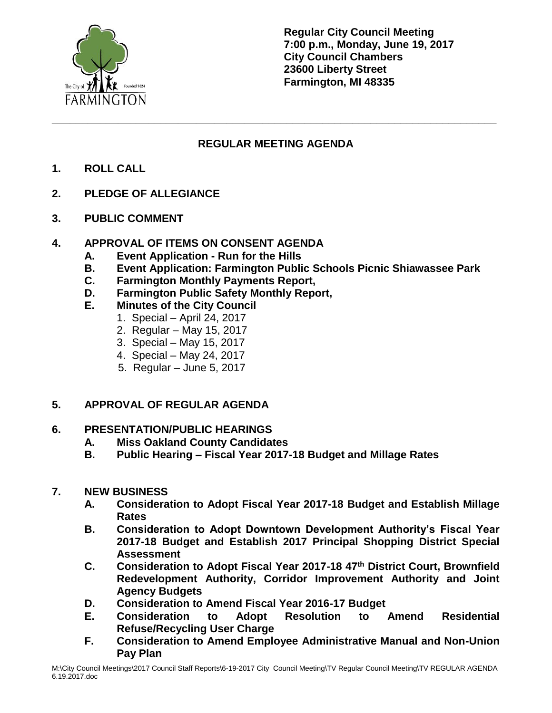

**Regular City Council Meeting 7:00 p.m., Monday, June 19, 2017 City Council Chambers 23600 Liberty Street Farmington, MI 48335**

# **REGULAR MEETING AGENDA**

**\_\_\_\_\_\_\_\_\_\_\_\_\_\_\_\_\_\_\_\_\_\_\_\_\_\_\_\_\_\_\_\_\_\_\_\_\_\_\_\_\_\_\_\_\_\_\_\_\_\_\_\_\_\_\_\_\_\_\_\_\_\_\_\_\_\_\_\_\_\_\_\_\_\_**

- **1. ROLL CALL**
- **2. PLEDGE OF ALLEGIANCE**
- **3. PUBLIC COMMENT**

## **4. APPROVAL OF ITEMS ON CONSENT AGENDA**

- **A. Event Application - Run for the Hills**
- **B. Event Application: Farmington Public Schools Picnic Shiawassee Park**
- **C. Farmington Monthly Payments Report,**
- **D. Farmington Public Safety Monthly Report,**
- **E. Minutes of the City Council**
	- 1. Special April 24, 2017
		- 2. Regular May 15, 2017
		- 3. Special May 15, 2017
		- 4. Special May 24, 2017
		- 5. Regular June 5, 2017

## **5. APPROVAL OF REGULAR AGENDA**

## **6. PRESENTATION/PUBLIC HEARINGS**

- **A. Miss Oakland County Candidates**
- **B. Public Hearing – Fiscal Year 2017-18 Budget and Millage Rates**

## **7. NEW BUSINESS**

- **A. Consideration to Adopt Fiscal Year 2017-18 Budget and Establish Millage Rates**
- **B. Consideration to Adopt Downtown Development Authority's Fiscal Year 2017-18 Budget and Establish 2017 Principal Shopping District Special Assessment**
- **C. Consideration to Adopt Fiscal Year 2017-18 47th District Court, Brownfield Redevelopment Authority, Corridor Improvement Authority and Joint Agency Budgets**
- **D. Consideration to Amend Fiscal Year 2016-17 Budget**
- **E. Consideration to Adopt Resolution to Amend Residential Refuse/Recycling User Charge**
- **F. Consideration to Amend Employee Administrative Manual and Non-Union Pay Plan**